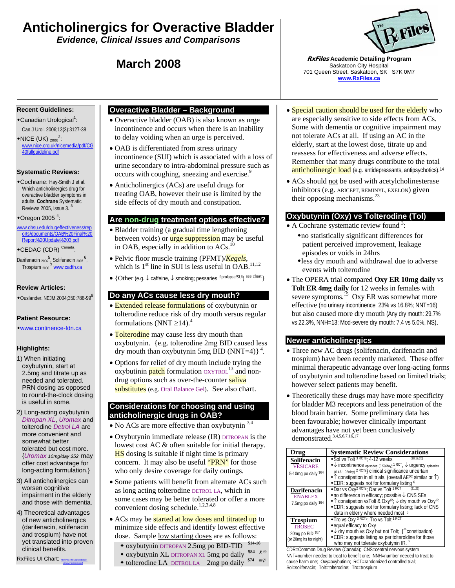# **Anticholinergics for Overactive Bladder**

*Evidence, Clinical Issues and Comparisons* 

#### **Recent Guidelines:**

- ◆Canadian Urological<sup>1</sup>: Can J Urol. 2006;13(3):3127-38
- $*NICE$  (UK)  $_{2006}^{2}$ : www.nice.org.uk/nicemedia/pdf/CG 40fullguideline.pdf

#### **Systematic Reviews:**

Cochrane: Hay-Smith J et al. Which anticholinergics drug for overactive bladder symptoms in adults. **Cochrane** Systematic Reviews 2005, Issue 3.

#### $\bullet$ Oregon 2005<sup>4</sup>:

- www.ohsu.edu/drugeffectiveness/rep orts/documents/OAB%20Final%20 Report%20Update%203.pdf CEDAC (CDR) Canada:
- Darifenacin <sub>2006</sub><sup>5</sup>, Solifenacin <sub>2007</sub><sup>6</sup>,<br>Trospium <sub>2006</sub><sup>7</sup> www.cadth.ca

#### **Review Articles:**

 $\bullet$  Ouslander. NEJM 2004;350:786-99<sup>8</sup>

#### **Patient Resource:**

#### www.continence-fdn.ca

#### **Highlights:**

- 1) When initiating oxybutynin, start at 2.5mg and titrate up as needed and tolerated. PRN dosing as opposed to round-the-clock dosing is useful in some.
- 2) Long-acting oxybutynin *Ditropan XL*, *Uromax* and tolterodine *Detrol LA* are more convenient and somewhat better tolerated but cost more. {*Uromax 10mg/day \$52* may offer cost advantage for long-acting formulation.}
- 3) All anticholinergics can worsen cognitive impairment in the elderly and those with dementia.
- 4) Theoretical advantages of new anticholinergics (darifenacin, solifenacin and trospium) have not yet translated into proven clinical benefits.
- RxFiles UI Chart: **http://www.rxfiles.com/cht**urinary-incontinence.pdf

## **Overactive Bladder – Background**

- Overactive bladder (OAB) is also known as urge incontinence and occurs when there is an inability to delay voiding when an urge is perceived.
- OAB is differentiated from stress urinary incontinence (SUI) which is associated with a loss of urine secondary to intra-abdominal pressure such as occurs with coughing, sneezing and exercise.<sup>9</sup>
- Anticholinergics (ACs) are useful drugs for treating OAB, however their use is limited by the side effects of dry mouth and constipation.

### **Are non-drug treatment options effective?**

- Bladder training (a gradual time lengthening between voids) or **urge suppression** may be useful in OAB, especially in addition to  $ACs$ .<sup>10</sup>
- Pelvic floor muscle training (PFMT)/*Kegels*, which is  $1<sup>st</sup>$  line in SUI is less useful in OAB.<sup>11,12</sup>
- {Other (e.g. ↓ caffeine, ↓ smoking; pessaries if prolapse/SUI) see chart}

### **Do any ACs cause less dry mouth?**

- Extended release formulations of oxybutynin or tolterodine reduce risk of dry mouth versus regular formulations (NNT  $\geq$ 14).<sup>4</sup>
- Tolterodine may cause less dry mouth than oxybutynin. {e.g. tolterodine 2mg BID caused less dry mouth than oxybutynin 5mg BID (NNT=4) $3<sup>4</sup>$ .
- Options for relief of dry mouth include trying the oxybutinin  $p$ atch formulation  $OXYTROL$ <sup>13</sup> and nondrug options such as over-the-counter saliva substitutes (e.g. Oral Balance Gel). See also chart.

#### **Considerations for choosing and using anticholinergic drugs in OAB?**

- No ACs are more effective than oxybutynin  $3,4$
- Oxybutynin immediate release (IR) DITROPAN is the lowest cost AC & often suitable for initial therapy. **HS** dosing is suitable if night time is primary concern. It may also be useful "PRN" for those who only desire coverage for daily outings.
- Some patients will benefit from alternate ACs such as long acting tolterodine DETROL LA, which in some cases may be better tolerated or offer a more convenient dosing schedule.<sup>1,2,3,4,8</sup>
- ACs may be started at low doses and titrated up to minimize side effects and identify lowest effective dose. Sample low starting doses are as follows:
	- oxybutynin DITROPAN 2.5mg po BID-TID **\$14-16**
	- oxybutynin XL DITROPAN XL 5mg po daily **\$84** <sup>⊗</sup>
	- $\bullet$  tolterodine LA DETROL LA 2mg po daily  $\frac{$74}{96}$



**March 2008** *RxFiles* **Academic Detailing Program <b>March 2008** *RxFiles* Academic Detailing Program Saskatoon City Hospital 701 Queen Street, Saskatoon, SK S7K 0M7 **www.RxFiles.ca**

- Special caution should be used for the elderly who are especially sensitive to side effects from ACs. Some with dementia or cognitive impairment may not tolerate ACs at all. If using an AC in the elderly, start at the lowest dose, titrate up and reassess for effectiveness and adverse effects. Remember that many drugs contribute to the total anticholinergic load (e.g. antidepressants, antipsychotics).<sup>14</sup>
- ACs should not be used with acetylcholinesterase inhibitors (e.g. ARICEPT, REMINYL, EXELON) given their opposing mechanisms.<sup>23</sup>

# **Oxybutynin (Oxy) vs Tolterodine (Tol)**

- A Cochrane systematic review found  $3$ :
	- no statistically significant differences for patient perceived improvement, leakage episodes or voids in 24hrs
	- less dry mouth and withdrawal due to adverse events with tolterodine
- The OPERA trial compared **Oxy ER 10mg daily** vs **Tolt ER 4mg daily** for 12 weeks in females with severe symptoms.<sup>15</sup> Oxy ER was somewhat more effective (no urinary incontinence 23% vs 16.8%; NNT=16) but also caused more dry mouth (Any dry mouth: 29.7% vs 22.3%, NNH=13; Mod-severe dry mouth: 7.4 vs 5.0%, NS).

### **Newer anticholinergics**

- Three new AC drugs (solifenacin, darifenacin and trospium) have been recently marketed. These offer minimal therapeutic advantage over long-acting forms of oxybutynin and tolterodine based on limited trials; however select patients may benefit.
- Theoretically these drugs may have more specificity for bladder M3 receptors and less penetration of the blood brain barrier. Some preliminary data has been favourable; however clinically important advantages have not yet been conclusively demonstrated.3,4,5,6,7,16,17

| Drug                                                                           | <b>Systematic Review Considerations</b>                                                                                                                                                                                                                                                                                                                                                   |
|--------------------------------------------------------------------------------|-------------------------------------------------------------------------------------------------------------------------------------------------------------------------------------------------------------------------------------------------------------------------------------------------------------------------------------------------------------------------------------------|
| Solifenacin<br><b>VESICARE</b><br>5-10mg po daily \$64                         | ◆Sol vs Tolt <sup>3 RCTs</sup> : 4-12 weeks<br>${18, 19, 20}$<br>$\bullet\downarrow$ incontinence episodes (0.59/day); <sup>1 RCT</sup> , $\downarrow$ urgency episodes<br>(0.43-1.02/day) <sup>2 RCTs</sup> } clinical significance uncertain<br>$\hat{\ }$ constipation in all trials, (overall AE <sup>DC</sup> similar or $\hat{\ }$ )<br>◆ CDR: suggests not for formulary listing 6 |
| <b>Darifenacin</b><br><b>ENABLEX</b><br>7.5mg po daily \$64                    | *Dar vs Oxy <sup>2 RCTs</sup> ; Dar vs Tolt <sup>1 RCT</sup><br>${21,22}$<br>$\bullet$ no difference in efficacy; possible $\downarrow$ CNS SEs<br>•↑ constipation vsTolt & Oxy <sup>IR</sup> ; ↓ dry mouth vs Oxy <sup>IR</sup><br>◆ CDR: suggests not for formulary listing; lack of CNS<br>data in elderly where needed most 5                                                         |
| <b>Trospium</b><br><b>TROSEC</b><br>20mg po BID \$57<br>(or 20mg hs for night) | • Tro vs Oxy <sup>3 RCTs</sup> ; Tro vs Tolt <sup>1 RCT</sup><br>◆equal efficacy to Oxy<br>$\rightarrow \downarrow$ dry mouth vs Oxy but not Tolt; { \text{\math}\$ constipation }<br>• CDR: suggests listing as per tolteroldine for those<br>who may not tolerate oxybutynin IR. 7                                                                                                      |

CDR=Common Drug Review (Canada); CNS=central nervous system NNT=number needed to treat to benefit one; NNH=number needed to treat to cause harm one; Oxy=oxybutinin; RCT=randomized controlled trial; Sol=solifenacin; Tolt=tolterodine; Tro=trospium